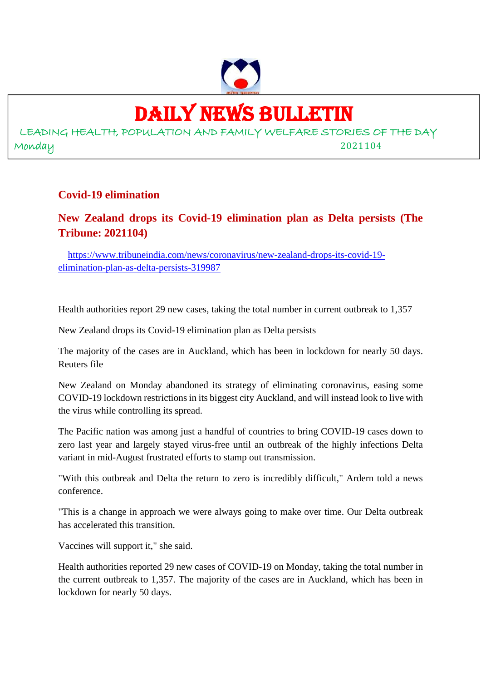## DAILY NEWS BULLETIN

LEADING HEALTH, POPULATION AND FAMILY WELFARE STORIES OF THE DAY Monday 2021104

#### **Covid-19 elimination**

#### **New Zealand drops its Covid-19 elimination plan as Delta persists (The Tribune: 2021104)**

https://www.tribuneindia.com/news/coronavirus/new-zealand-drops-its-covid-19 elimination-plan-as-delta-persists-319987

Health authorities report 29 new cases, taking the total number in current outbreak to 1,357

New Zealand drops its Covid-19 elimination plan as Delta persists

The majority of the cases are in Auckland, which has been in lockdown for nearly 50 days. Reuters file

New Zealand on Monday abandoned its strategy of eliminating coronavirus, easing some COVID-19 lockdown restrictions in its biggest city Auckland, and will instead look to live with the virus while controlling its spread.

The Pacific nation was among just a handful of countries to bring COVID-19 cases down to zero last year and largely stayed virus-free until an outbreak of the highly infections Delta variant in mid-August frustrated efforts to stamp out transmission.

"With this outbreak and Delta the return to zero is incredibly difficult," Ardern told a news conference.

"This is a change in approach we were always going to make over time. Our Delta outbreak has accelerated this transition.

Vaccines will support it," she said.

Health authorities reported 29 new cases of COVID-19 on Monday, taking the total number in the current outbreak to 1,357. The majority of the cases are in Auckland, which has been in lockdown for nearly 50 days.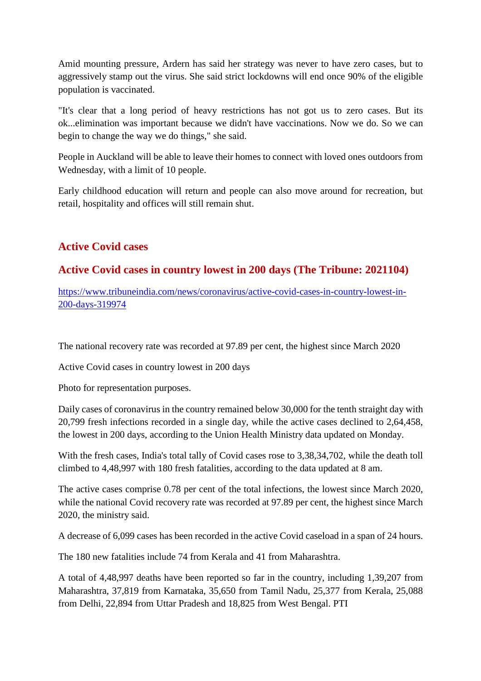Amid mounting pressure, Ardern has said her strategy was never to have zero cases, but to aggressively stamp out the virus. She said strict lockdowns will end once 90% of the eligible population is vaccinated.

"It's clear that a long period of heavy restrictions has not got us to zero cases. But its ok...elimination was important because we didn't have vaccinations. Now we do. So we can begin to change the way we do things," she said.

People in Auckland will be able to leave their homes to connect with loved ones outdoors from Wednesday, with a limit of 10 people.

Early childhood education will return and people can also move around for recreation, but retail, hospitality and offices will still remain shut.

#### **Active Covid cases**

#### **Active Covid cases in country lowest in 200 days (The Tribune: 2021104)**

https://www.tribuneindia.com/news/coronavirus/active-covid-cases-in-country-lowest-in-200-days-319974

The national recovery rate was recorded at 97.89 per cent, the highest since March 2020

Active Covid cases in country lowest in 200 days

Photo for representation purposes.

Daily cases of coronavirus in the country remained below 30,000 for the tenth straight day with 20,799 fresh infections recorded in a single day, while the active cases declined to 2,64,458, the lowest in 200 days, according to the Union Health Ministry data updated on Monday.

With the fresh cases, India's total tally of Covid cases rose to 3,38,34,702, while the death toll climbed to 4,48,997 with 180 fresh fatalities, according to the data updated at 8 am.

The active cases comprise 0.78 per cent of the total infections, the lowest since March 2020, while the national Covid recovery rate was recorded at 97.89 per cent, the highest since March 2020, the ministry said.

A decrease of 6,099 cases has been recorded in the active Covid caseload in a span of 24 hours.

The 180 new fatalities include 74 from Kerala and 41 from Maharashtra.

A total of 4,48,997 deaths have been reported so far in the country, including 1,39,207 from Maharashtra, 37,819 from Karnataka, 35,650 from Tamil Nadu, 25,377 from Kerala, 25,088 from Delhi, 22,894 from Uttar Pradesh and 18,825 from West Bengal. PTI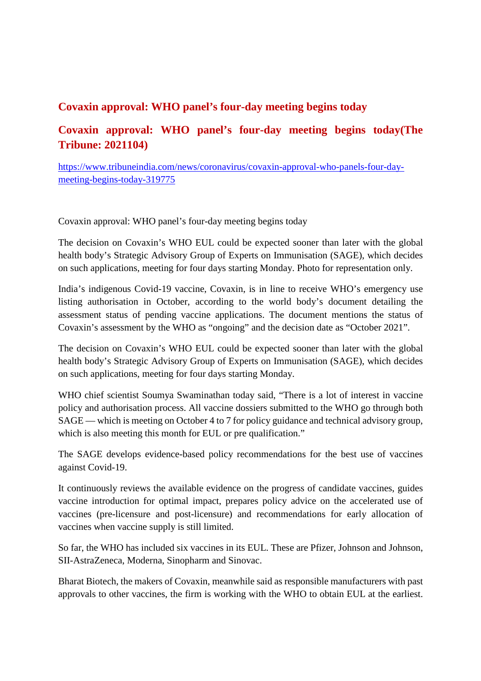#### **Covaxin approval: WHO panel's four-day meeting begins today**

#### **Covaxin approval: WHO panel's four-day meeting begins today(The Tribune: 2021104)**

https://www.tribuneindia.com/news/coronavirus/covaxin-approval-who-panels-four-daymeeting-begins-today-319775

Covaxin approval: WHO panel's four-day meeting begins today

The decision on Covaxin's WHO EUL could be expected sooner than later with the global health body's Strategic Advisory Group of Experts on Immunisation (SAGE), which decides on such applications, meeting for four days starting Monday. Photo for representation only.

India's indigenous Covid-19 vaccine, Covaxin, is in line to receive WHO's emergency use listing authorisation in October, according to the world body's document detailing the assessment status of pending vaccine applications. The document mentions the status of Covaxin's assessment by the WHO as "ongoing" and the decision date as "October 2021".

The decision on Covaxin's WHO EUL could be expected sooner than later with the global health body's Strategic Advisory Group of Experts on Immunisation (SAGE), which decides on such applications, meeting for four days starting Monday.

WHO chief scientist Soumya Swaminathan today said, "There is a lot of interest in vaccine policy and authorisation process. All vaccine dossiers submitted to the WHO go through both SAGE — which is meeting on October 4 to 7 for policy guidance and technical advisory group, which is also meeting this month for EUL or pre qualification."

The SAGE develops evidence-based policy recommendations for the best use of vaccines against Covid-19.

It continuously reviews the available evidence on the progress of candidate vaccines, guides vaccine introduction for optimal impact, prepares policy advice on the accelerated use of vaccines (pre-licensure and post-licensure) and recommendations for early allocation of vaccines when vaccine supply is still limited.

So far, the WHO has included six vaccines in its EUL. These are Pfizer, Johnson and Johnson, SII-AstraZeneca, Moderna, Sinopharm and Sinovac.

Bharat Biotech, the makers of Covaxin, meanwhile said as responsible manufacturers with past approvals to other vaccines, the firm is working with the WHO to obtain EUL at the earliest.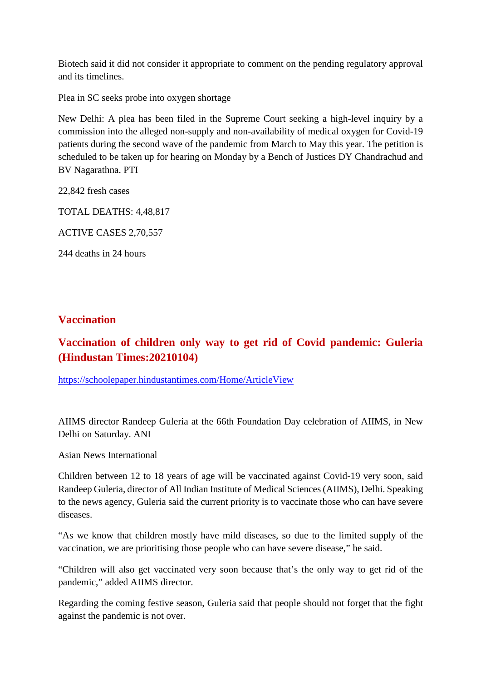Biotech said it did not consider it appropriate to comment on the pending regulatory approval and its timelines.

Plea in SC seeks probe into oxygen shortage

New Delhi: A plea has been filed in the Supreme Court seeking a high-level inquiry by a commission into the alleged non-supply and non-availability of medical oxygen for Covid-19 patients during the second wave of the pandemic from March to May this year. The petition is scheduled to be taken up for hearing on Monday by a Bench of Justices DY Chandrachud and BV Nagarathna. PTI

22,842 fresh cases

TOTAL DEATHS: 4,48,817

ACTIVE CASES 2,70,557

244 deaths in 24 hours

#### **Vaccination**

#### **Vaccination of children only way to get rid of Covid pandemic: Guleria (Hindustan Times:20210104)**

https://schoolepaper.hindustantimes.com/Home/ArticleView

AIIMS director Randeep Guleria at the 66th Foundation Day celebration of AIIMS, in New Delhi on Saturday. ANI

Asian News International

Children between 12 to 18 years of age will be vaccinated against Covid-19 very soon, said Randeep Guleria, director of All Indian Institute of Medical Sciences (AIIMS), Delhi. Speaking to the news agency, Guleria said the current priority is to vaccinate those who can have severe diseases.

"As we know that children mostly have mild diseases, so due to the limited supply of the vaccination, we are prioritising those people who can have severe disease," he said.

"Children will also get vaccinated very soon because that's the only way to get rid of the pandemic," added AIIMS director.

Regarding the coming festive season, Guleria said that people should not forget that the fight against the pandemic is not over.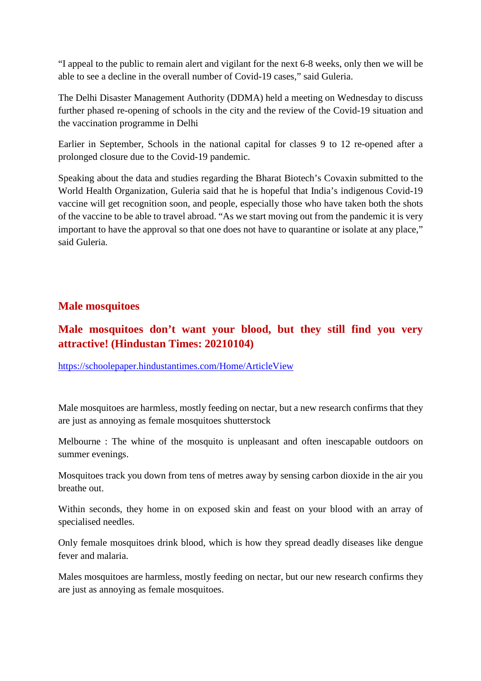"I appeal to the public to remain alert and vigilant for the next 6-8 weeks, only then we will be able to see a decline in the overall number of Covid-19 cases," said Guleria.

The Delhi Disaster Management Authority (DDMA) held a meeting on Wednesday to discuss further phased re-opening of schools in the city and the review of the Covid-19 situation and the vaccination programme in Delhi

Earlier in September, Schools in the national capital for classes 9 to 12 re-opened after a prolonged closure due to the Covid-19 pandemic.

Speaking about the data and studies regarding the Bharat Biotech's Covaxin submitted to the World Health Organization, Guleria said that he is hopeful that India's indigenous Covid-19 vaccine will get recognition soon, and people, especially those who have taken both the shots of the vaccine to be able to travel abroad. "As we start moving out from the pandemic it is very important to have the approval so that one does not have to quarantine or isolate at any place," said Guleria.

#### **Male mosquitoes**

#### **Male mosquitoes don't want your blood, but they still find you very attractive! (Hindustan Times: 20210104)**

https://schoolepaper.hindustantimes.com/Home/ArticleView

Male mosquitoes are harmless, mostly feeding on nectar, but a new research confirms that they are just as annoying as female mosquitoes shutterstock

Melbourne : The whine of the mosquito is unpleasant and often inescapable outdoors on summer evenings.

Mosquitoes track you down from tens of metres away by sensing carbon dioxide in the air you breathe out.

Within seconds, they home in on exposed skin and feast on your blood with an array of specialised needles.

Only female mosquitoes drink blood, which is how they spread deadly diseases like dengue fever and malaria.

Males mosquitoes are harmless, mostly feeding on nectar, but our new research confirms they are just as annoying as female mosquitoes.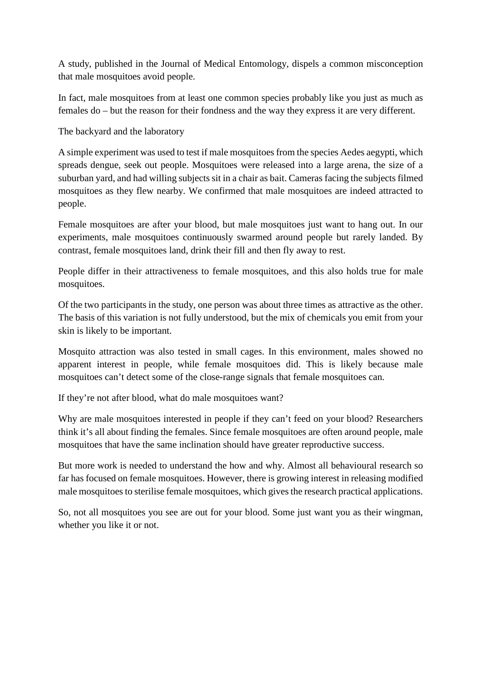A study, published in the Journal of Medical Entomology, dispels a common misconception that male mosquitoes avoid people.

In fact, male mosquitoes from at least one common species probably like you just as much as females do – but the reason for their fondness and the way they express it are very different.

The backyard and the laboratory

A simple experiment was used to test if male mosquitoes from the species Aedes aegypti, which spreads dengue, seek out people. Mosquitoes were released into a large arena, the size of a suburban yard, and had willing subjects sit in a chair as bait. Cameras facing the subjects filmed mosquitoes as they flew nearby. We confirmed that male mosquitoes are indeed attracted to people.

Female mosquitoes are after your blood, but male mosquitoes just want to hang out. In our experiments, male mosquitoes continuously swarmed around people but rarely landed. By contrast, female mosquitoes land, drink their fill and then fly away to rest.

People differ in their attractiveness to female mosquitoes, and this also holds true for male mosquitoes.

Of the two participants in the study, one person was about three times as attractive as the other. The basis of this variation is not fully understood, but the mix of chemicals you emit from your skin is likely to be important.

Mosquito attraction was also tested in small cages. In this environment, males showed no apparent interest in people, while female mosquitoes did. This is likely because male mosquitoes can't detect some of the close-range signals that female mosquitoes can.

If they're not after blood, what do male mosquitoes want?

Why are male mosquitoes interested in people if they can't feed on your blood? Researchers think it's all about finding the females. Since female mosquitoes are often around people, male mosquitoes that have the same inclination should have greater reproductive success.

But more work is needed to understand the how and why. Almost all behavioural research so far has focused on female mosquitoes. However, there is growing interest in releasing modified male mosquitoes to sterilise female mosquitoes, which gives the research practical applications.

So, not all mosquitoes you see are out for your blood. Some just want you as their wingman, whether you like it or not.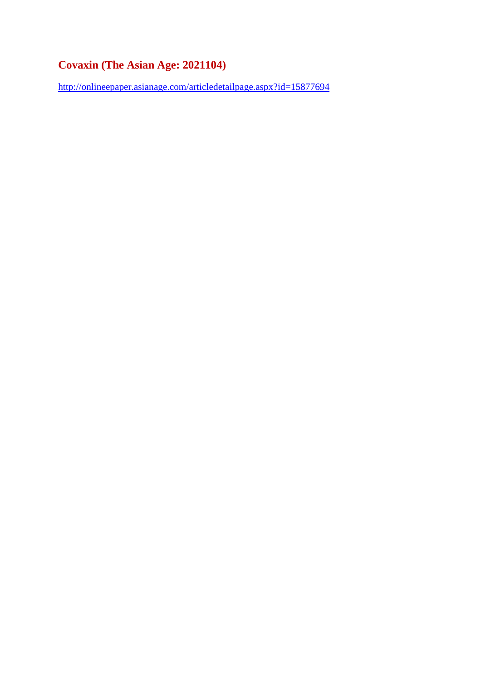### **Covaxin (The Asian Age: 2021104)**

http://onlineepaper.asianage.com/articledetailpage.aspx?id=15877694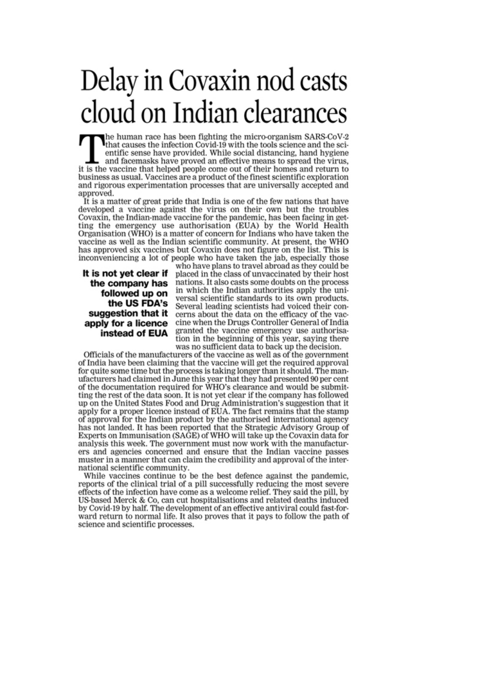# Delay in Covaxin nod casts cloud on Indian clearances

the human race has been fighting the micro-organism SARS-CoV-2<br>that causes the infection Covid-19 with the tools science and the scientific sense have provided. While social distancing, hand hygiene and facemasks have proved an effective means to spread the virus. it is the vaccine that helped people come out of their homes and return to business as usual. Vaccines are a product of the finest scientific exploration and rigorous experimentation processes that are universally accepted and approved.

It is a matter of great pride that India is one of the few nations that have developed a vaccine against the virus on their own but the troubles Covaxin, the Indian-made vaccine for the pandemic, has been facing in getting the emergency use authorisation (EUA) by the World Health Organisation (WHO) is a matter of concern for Indians who have taken the vaccine as well as the Indian scientific community. At present, the WHO has approved six vaccines but Covaxin does not figure on the list. This is inconveniencing a lot of people who have taken the jab, especially those

It is not yet clear if the company has followed up on the US FDA's suggestion that it apply for a licence instead of EUA

who have plans to travel abroad as they could be placed in the class of unvaccinated by their host nations. It also casts some doubts on the process in which the Indian authorities apply the universal scientific standards to its own products. Several leading scientists had voiced their concerns about the data on the efficacy of the vaccine when the Drugs Controller General of India granted the vaccine emergency use authorisation in the beginning of this year, saying there was no sufficient data to back up the decision.

Officials of the manufacturers of the vaccine as well as of the government of India have been claiming that the vaccine will get the required approval for quite some time but the process is taking longer than it should. The manufacturers had claimed in June this year that they had presented 90 per cent of the documentation required for WHO's clearance and would be submitting the rest of the data soon. It is not yet clear if the company has followed up on the United States Food and Drug Administration's suggestion that it apply for a proper licence instead of EUA. The fact remains that the stamp of approval for the Indian product by the authorised international agency has not landed. It has been reported that the Strategic Advisory Group of Experts on Immunisation (SAGE) of WHO will take up the Covaxin data for analysis this week. The government must now work with the manufacturers and agencies concerned and ensure that the Indian vaccine passes muster in a manner that can claim the credibility and approval of the international scientific community.

While vaccines continue to be the best defence against the pandemic, reports of the clinical trial of a pill successfully reducing the most severe effects of the infection have come as a welcome relief. They said the pill, by US-based Merck & Co, can cut hospitalisations and related deaths induced by Covid-19 by half. The development of an effective antiviral could fast-forward return to normal life. It also proves that it pays to follow the path of science and scientific processes.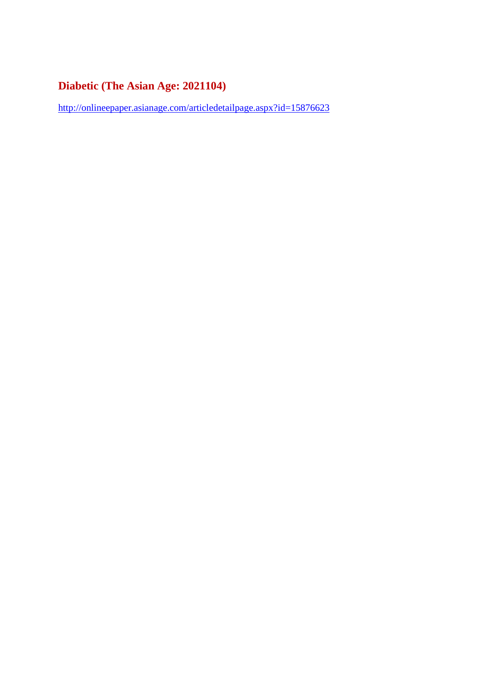### **Diabetic (The Asian Age: 2021104)**

http://onlineepaper.asianage.com/articledetailpage.aspx?id=15876623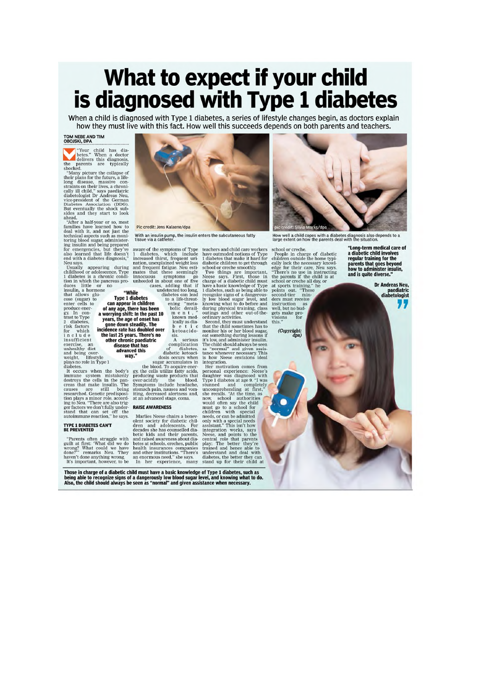## What to expect if your child is diagnosed with Type 1 diabetes

When a child is diagnosed with Type 1 diabetes, a series of lifestyle changes begin, as doctors explain how they must live with this fact. How well this succeeds depends on both parents and teachers.

#### TOM NEBE AND TIM<br>OBOJSKI, DPA

**Example 18 The Second State of the Second State State** delivers this diagnosis, the parents are typically shocked.

the parents are typically<br>shocked.<br>The parents are typically<br>shocked.<br>The parents are typically<br>shocked.<br>They wave profit the future, although the contrasting on their lives, a chronically ill child<br>"says needlatic" (diabe

z diabetes,<br>risk factors<br>for which<br>include in c 1 u de<br>
insufficient<br>
exercise, an<br>
unhealthy diet<br>
weight, lifestyle<br>
plays no role in Type 1<br>
diabetes.

inapetes.<br>It occurs when the body's It occurs when the body's<br>immune system mistakenly<br>destroys the cells in the pan-<br>creas that make insulin. The pan-<br>causes are still being<br>researched. Genetic predisposi-<br>tion plays a minor role, accord-<br>ing to Neu. "There

TYPE 1 DIABETES CAN'T<br>BE PREVENTED

"Parents often struggle with guilt at first: "What did we do wrong?" wenarks Neu. They done?" remarks Neu. They haven't done anything wrong. It's important, however, to be



With an insulin pump, the insulin enters the subcutaneous fatty<br>tissue via a catheter.

tissue via a catheter.<br>
aware of the symptoms of Type<br>
1 diabetes, which include<br>
increased thirst, frequent uri-<br>
nation, unexplained weight loss<br>
and frequent fatigue. Neu esti-<br>
mates that these seemingly<br>
unheeded in

or mome<br>
or the undetermine with the undetermine<br>
to can appear in children<br>
of any age, there has been<br>
a worrying shift: In the past 10<br>
years, the age of onset has<br>
gone down steadily. The<br>
incidence rate has doubled ov b e t i c<br>ketoacidosis.<br>
A serious<br>
Complication<br>
of diabetes,<br>
diabetic ketoacithe last 25 years. There's no

ne last 25 years. There's n<br>other chronic paediatric<br>disease that has<br>advanced this way."

diabetic ketoaci-<br>
diabetic ketoaci<br>
diabetic ketoaci<br>
sugar accumulates in<br>
te blood. To acquire enerty<br>
producing waster producing was producing waster over-acidify<br>
over-acidify the blood.<br>
Symptoms include headache, symptoms include headache,<br>stomach pain, nausea and vom-<br>iting, decreased alertness and,<br>at an advanced stage, coma.

Marlies Neese chairs a benev-Maries Neese chans a benev-<br>olent society for diabetic chil-<br>dren and adolescents. For<br>decades she has counselled dia-

teachers and child care workers<br>have outmoded notions of Type<br>1 diabetes that make it hard for<br>diabetic children to get through<br>5 diabetes that make it hard for<br>5<br>chool or creche smoothly.<br>Two things are important, the<br>ch

is how Neese envisions ideal<br>integration.

Her motivation comes from Francisco Research<br>daughter was diagnosed with<br>Type 1 diabetes at age 9. "I was completely

anguchi was unaguosco<sup>4</sup> was supercontrol and completed and completed uncompenenting at first, "now wound often recalls. "At the time, as most positional mass that is must go to a school for children with special needs, or



(Copyright:<br>dpa)

regular training for the<br>parents that goes beyond<br>how to administer insulin,

Dr Andreas Neu. paediatric<br>diabetologist "

"Long-term medical care of<br>a diabetic child involves

**RAISE AWARENESS** 

detic kids and their parents,<br>and raised awareness about dia-<br>betes at schools, creches, public health insurances companies<br>and other institutions. "There's

Those in charge of a diabetic child must have a basic knowledge of Type 1 diabetes, such as<br>being able to recognize signs of a dangerously low blood sugar level, and knowing what to do.<br>Also, the child should always be see

mean insurances companies understand and deal with<br>an enormous need," she says. diabetes, the better they can<br>In her experience, many stand up for their child at